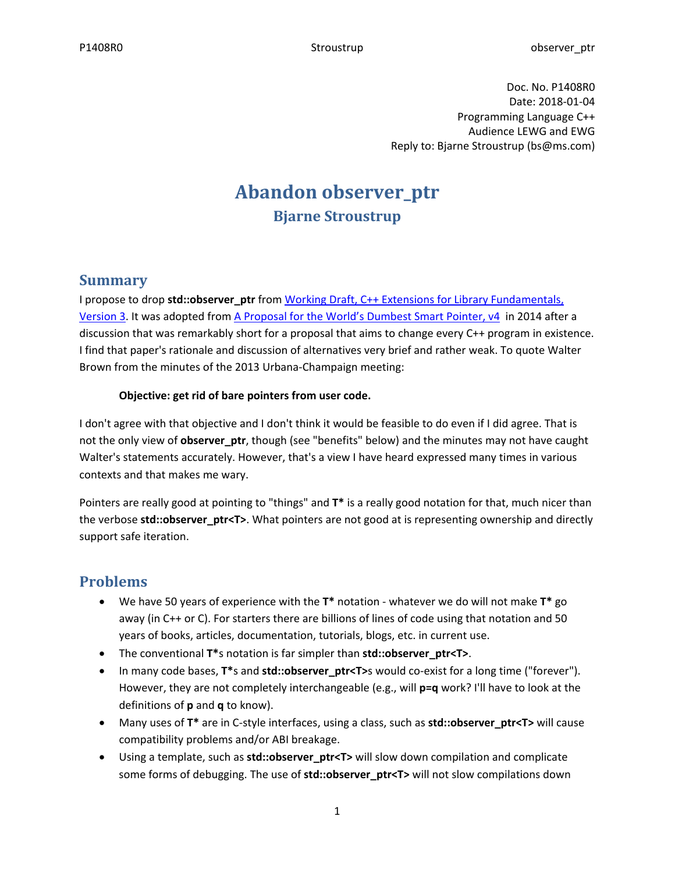Doc. No. P1408R0 Date: 2018-01-04 Programming Language C++ Audience LEWG and EWG Reply to: Bjarne Stroustrup (bs@ms.com)

# **Abandon observer\_ptr Bjarne Stroustrup**

### **Summary**

I propose to drop **std::observer\_ptr** from [Working Draft, C++ Extensions for Library Fundamentals,](http://www.open-std.org/jtc1/sc22/wg21/docs/papers/2018/n4786.html)  [Version 3.](http://www.open-std.org/jtc1/sc22/wg21/docs/papers/2018/n4786.html) It was adopted from A Proposal [for the World's Dumbest Smart Pointer, v4](http://open-std.org/JTC1/SC22/WG21/docs/papers/2014/n4282.pdf) in 2014 after a discussion that was remarkably short for a proposal that aims to change every C++ program in existence. I find that paper's rationale and discussion of alternatives very brief and rather weak. To quote Walter Brown from the minutes of the 2013 Urbana-Champaign meeting:

#### **Objective: get rid of bare pointers from user code.**

I don't agree with that objective and I don't think it would be feasible to do even if I did agree. That is not the only view of **observer\_ptr**, though (see "benefits" below) and the minutes may not have caught Walter's statements accurately. However, that's a view I have heard expressed many times in various contexts and that makes me wary.

Pointers are really good at pointing to "things" and **T\*** is a really good notation for that, much nicer than the verbose **std::observer\_ptr<T>**. What pointers are not good at is representing ownership and directly support safe iteration.

### **Problems**

- We have 50 years of experience with the **T\*** notation whatever we do will not make **T\*** go away (in C++ or C). For starters there are billions of lines of code using that notation and 50 years of books, articles, documentation, tutorials, blogs, etc. in current use.
- The conventional **T\***s notation is far simpler than **std::observer\_ptr<T>**.
- In many code bases, **T\***s and **std::observer\_ptr<T>**s would co-exist for a long time ("forever"). However, they are not completely interchangeable (e.g., will **p=q** work? I'll have to look at the definitions of **p** and **q** to know).
- Many uses of **T\*** are in C-style interfaces, using a class, such as **std::observer\_ptr<T>** will cause compatibility problems and/or ABI breakage.
- Using a template, such as **std::observer\_ptr<T>** will slow down compilation and complicate some forms of debugging. The use of **std::observer\_ptr<T>** will not slow compilations down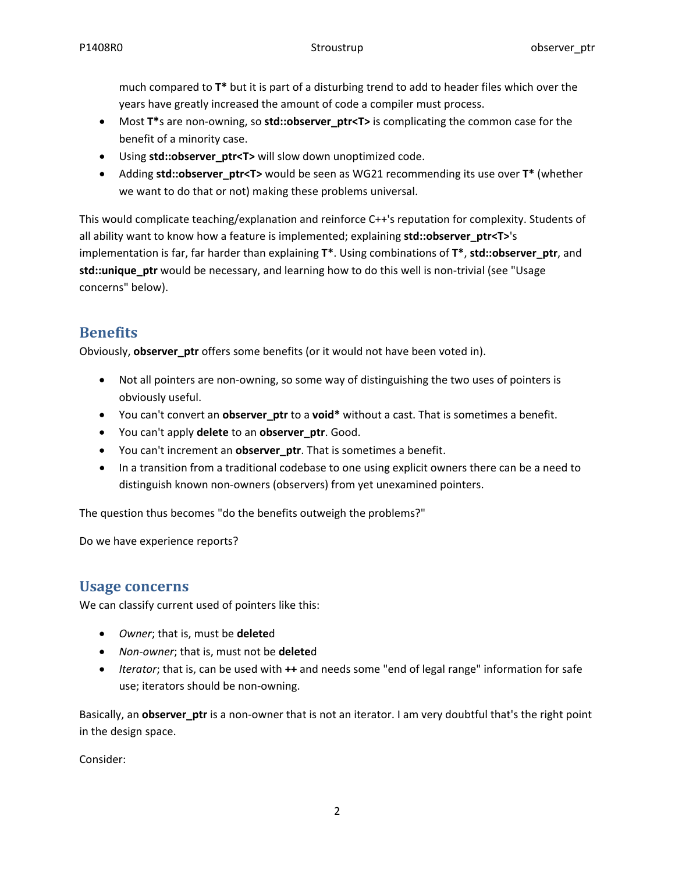much compared to **T\*** but it is part of a disturbing trend to add to header files which over the years have greatly increased the amount of code a compiler must process.

- Most **T\***s are non-owning, so **std::observer\_ptr<T>** is complicating the common case for the benefit of a minority case.
- Using **std::observer\_ptr<T>** will slow down unoptimized code.
- Adding **std::observer\_ptr<T>** would be seen as WG21 recommending its use over **T\*** (whether we want to do that or not) making these problems universal.

This would complicate teaching/explanation and reinforce C++'s reputation for complexity. Students of all ability want to know how a feature is implemented; explaining **std::observer\_ptr<T>**'s implementation is far, far harder than explaining **T\***. Using combinations of **T\***, **std::observer\_ptr**, and **std::unique\_ptr** would be necessary, and learning how to do this well is non-trivial (see "Usage concerns" below).

## **Benefits**

Obviously, **observer\_ptr** offers some benefits (or it would not have been voted in).

- Not all pointers are non-owning, so some way of distinguishing the two uses of pointers is obviously useful.
- You can't convert an **observer\_ptr** to a **void\*** without a cast. That is sometimes a benefit.
- You can't apply **delete** to an **observer\_ptr**. Good.
- You can't increment an **observer\_ptr**. That is sometimes a benefit.
- In a transition from a traditional codebase to one using explicit owners there can be a need to distinguish known non-owners (observers) from yet unexamined pointers.

The question thus becomes "do the benefits outweigh the problems?"

Do we have experience reports?

### **Usage concerns**

We can classify current used of pointers like this:

- *Owner*; that is, must be **delete**d
- *Non-owner*; that is, must not be **delete**d
- *Iterator*; that is, can be used with **++** and needs some "end of legal range" information for safe use; iterators should be non-owning.

Basically, an **observer\_ptr** is a non-owner that is not an iterator. I am very doubtful that's the right point in the design space.

Consider: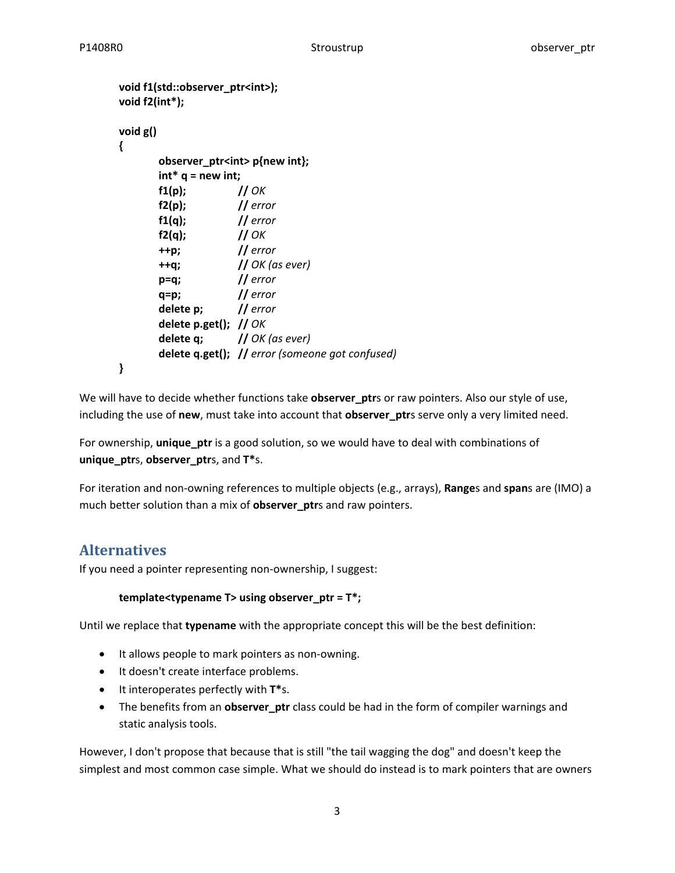```
void f1(std::observer_ptr<int>);
void f2(int*);
void g()
{
      observer_ptr<int> p{new int};
      int* q = new int;
      f1(p); // OK
      f2(p); // error
      f1(q); // error
      f2(q); // OK
      ++p; // error
      ++q; // OK (as ever)
      p=q; // error
      q=p; // error
      delete p; // error
      delete p.get(); // OK
      delete q; // OK (as ever)
      delete q.get(); // error (someone got confused)
}
```
We will have to decide whether functions take **observer\_ptr**s or raw pointers. Also our style of use, including the use of **new**, must take into account that **observer\_ptr**s serve only a very limited need.

For ownership, **unique\_ptr** is a good solution, so we would have to deal with combinations of **unique\_ptr**s, **observer\_ptr**s, and **T\***s.

For iteration and non-owning references to multiple objects (e.g., arrays), **Range**s and **span**s are (IMO) a much better solution than a mix of **observer\_ptr**s and raw pointers.

### **Alternatives**

If you need a pointer representing non-ownership, I suggest:

#### **template<typename T> using observer\_ptr = T\*;**

Until we replace that **typename** with the appropriate concept this will be the best definition:

- It allows people to mark pointers as non-owning.
- It doesn't create interface problems.
- It interoperates perfectly with **T\***s.
- The benefits from an **observer\_ptr** class could be had in the form of compiler warnings and static analysis tools.

However, I don't propose that because that is still "the tail wagging the dog" and doesn't keep the simplest and most common case simple. What we should do instead is to mark pointers that are owners